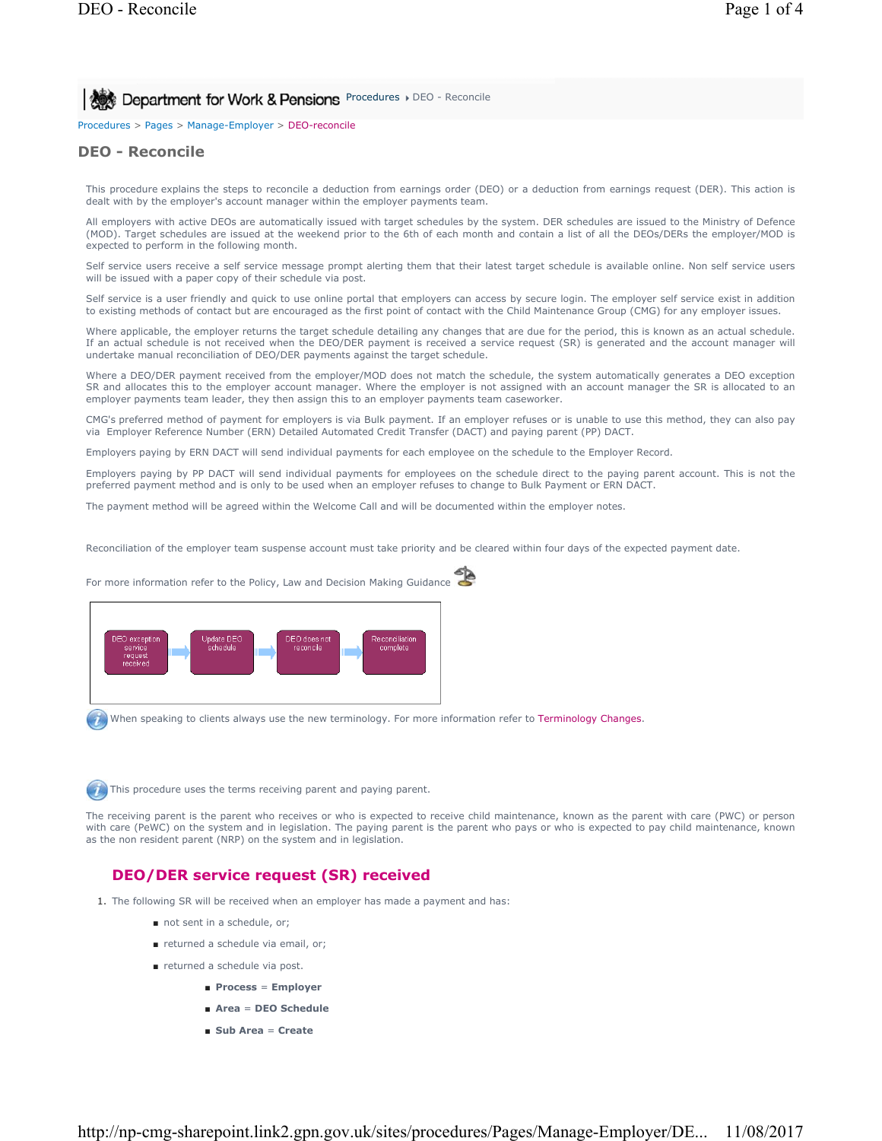# **Procedures Department for Work & Pensions** Procedures DEO - Reconcile

Procedures > Pages > Manage-Employer > DEO-reconcile

### **DEO - Reconcile**

This procedure explains the steps to reconcile a deduction from earnings order (DEO) or a deduction from earnings request (DER). This action is dealt with by the employer's account manager within the employer payments team.

All employers with active DEOs are automatically issued with target schedules by the system. DER schedules are issued to the Ministry of Defence (MOD). Target schedules are issued at the weekend prior to the 6th of each month and contain a list of all the DEOs/DERs the employer/MOD is expected to perform in the following month.

Self service users receive a self service message prompt alerting them that their latest target schedule is available online. Non self service users will be issued with a paper copy of their schedule via post.

Self service is a user friendly and quick to use online portal that employers can access by secure login. The employer self service exist in addition to existing methods of contact but are encouraged as the first point of contact with the Child Maintenance Group (CMG) for any employer issues.

Where applicable, the employer returns the target schedule detailing any changes that are due for the period, this is known as an actual schedule. If an actual schedule is not received when the DEO/DER payment is received a service request (SR) is generated and the account manager will undertake manual reconciliation of DEO/DER payments against the target schedule.

Where a DEO/DER payment received from the employer/MOD does not match the schedule, the system automatically generates a DEO exception SR and allocates this to the employer account manager. Where the employer is not assigned with an account manager the SR is allocated to an employer payments team leader, they then assign this to an employer payments team caseworker.

CMG's preferred method of payment for employers is via Bulk payment. If an employer refuses or is unable to use this method, they can also pay via Employer Reference Number (ERN) Detailed Automated Credit Transfer (DACT) and paying parent (PP) DACT.

Employers paying by ERN DACT will send individual payments for each employee on the schedule to the Employer Record.

Employers paying by PP DACT will send individual payments for employees on the schedule direct to the paying parent account. This is not the preferred payment method and is only to be used when an employer refuses to change to Bulk Payment or ERN DACT.

The payment method will be agreed within the Welcome Call and will be documented within the employer notes.

Reconciliation of the employer team suspense account must take priority and be cleared within four days of the expected payment date.

For more information refer to the Policy, Law and Decision Making Guidance DEO does not<br>reconcile Jpdate DEC<br>schedule Reconciliatio complete

When speaking to clients always use the new terminology. For more information refer to Terminology Changes.



The receiving parent is the parent who receives or who is expected to receive child maintenance, known as the parent with care (PWC) or person with care (PeWC) on the system and in legislation. The paying parent is the parent who pays or who is expected to pay child maintenance, known as the non resident parent (NRP) on the system and in legislation.

### **DEO/DER service request (SR) received**

- 1. The following SR will be received when an employer has made a payment and has:
	- not sent in a schedule, or;
	- returned a schedule via email, or:
	- returned a schedule via post.
		- **Process** = **Employer**
		- **Area** = **DEO Schedule**
		- **Sub Area** = **Create**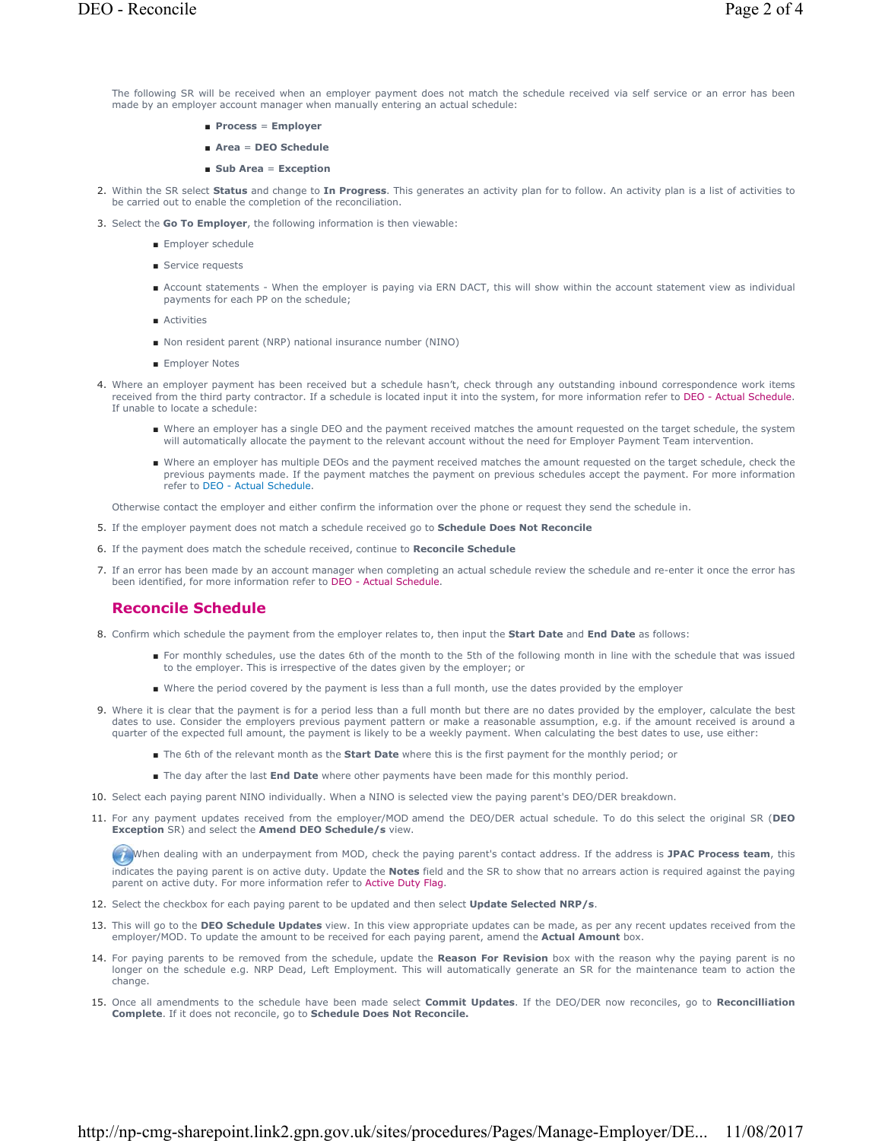The following SR will be received when an employer payment does not match the schedule received via self service or an error has been made by an employer account manager when manually entering an actual schedule:

- **Process** = **Employer**
- **Area** = **DEO Schedule**
- **Sub Area** = **Exception**
- 2. Within the SR select Status and change to In Progress. This generates an activity plan for to follow. An activity plan is a list of activities to be carried out to enable the completion of the reconciliation.
- 3. Select the **Go To Employer**, the following information is then viewable:
	- Employer schedule
	- Service requests
	- Account statements When the employer is paying via ERN DACT, this will show within the account statement view as individual payments for each PP on the schedule;
	- Activities
	- Non resident parent (NRP) national insurance number (NINO)
	- Employer Notes
- 4. Where an employer payment has been received but a schedule hasn't, check through any outstanding inbound correspondence work items received from the third party contractor. If a schedule is located input it into the system, for more information refer to DEO - Actual Schedule. If unable to locate a schedule:
	- Where an employer has a single DEO and the payment received matches the amount requested on the target schedule, the system will automatically allocate the payment to the relevant account without the need for Employer Payment Team intervention.
	- Where an employer has multiple DEOs and the payment received matches the amount requested on the target schedule, check the previous payments made. If the payment matches the payment on previous schedules accept the payment. For more information refer to DEO - Actual Schedule.

Otherwise contact the employer and either confirm the information over the phone or request they send the schedule in.

- 5. If the employer payment does not match a schedule received go to **Schedule Does Not Reconcile**
- 6. If the payment does match the schedule received, continue to **Reconcile Schedule**
- If an error has been made by an account manager when completing an actual schedule review the schedule and re-enter it once the error has 7. been identified, for more information refer to DEO - Actual Schedule.

## **Reconcile Schedule**

- 8. Confirm which schedule the payment from the employer relates to, then input the **Start Date** and **End Date** as follows:
	- For monthly schedules, use the dates 6th of the month to the 5th of the following month in line with the schedule that was issued to the employer. This is irrespective of the dates given by the employer; or
	- Where the period covered by the payment is less than a full month, use the dates provided by the employer
- 9. Where it is clear that the payment is for a period less than a full month but there are no dates provided by the employer, calculate the best dates to use. Consider the employers previous payment pattern or make a reasonable assumption, e.g. if the amount received is around a quarter of the expected full amount, the payment is likely to be a weekly payment. When calculating the best dates to use, use either:
	- The 6th of the relevant month as the **Start Date** where this is the first payment for the monthly period; or
	- The day after the last **End Date** where other payments have been made for this monthly period.
- 10. Select each paying parent NINO individually. When a NINO is selected view the paying parent's DEO/DER breakdown.
- For any payment updates received from the employer/MOD amend the DEO/DER actual schedule. To do this select the original SR (**DEO**  11. **Exception** SR) and select the **Amend DEO Schedule/s** view.

When dealing with an underpayment from MOD, check the paying parent's contact address. If the address is JPAC Process team, this indicates the paying parent is on active duty. Update the **Notes** field and the SR to show that no arrears action is required against the paying parent on active duty. For more information refer to Active Duty Flag.

- 12. Select the checkbox for each paying parent to be updated and then select **Update Selected NRP/s**.
- 13. This will go to the DEO Schedule Updates view. In this view appropriate updates can be made, as per any recent updates received from the employer/MOD. To update the amount to be received for each paying parent, amend the **Actual Amount** box.
- 14. For paying parents to be removed from the schedule, update the **Reason For Revision** box with the reason why the paying parent is no longer on the schedule e.g. NRP Dead, Left Employment. This will automatically generate an SR for the maintenance team to action the change.
- 15. Once all amendments to the schedule have been made select **Commit Updates**. If the DEO/DER now reconciles, go to Reconcilliation **Complete**. If it does not reconcile, go to **Schedule Does Not Reconcile.**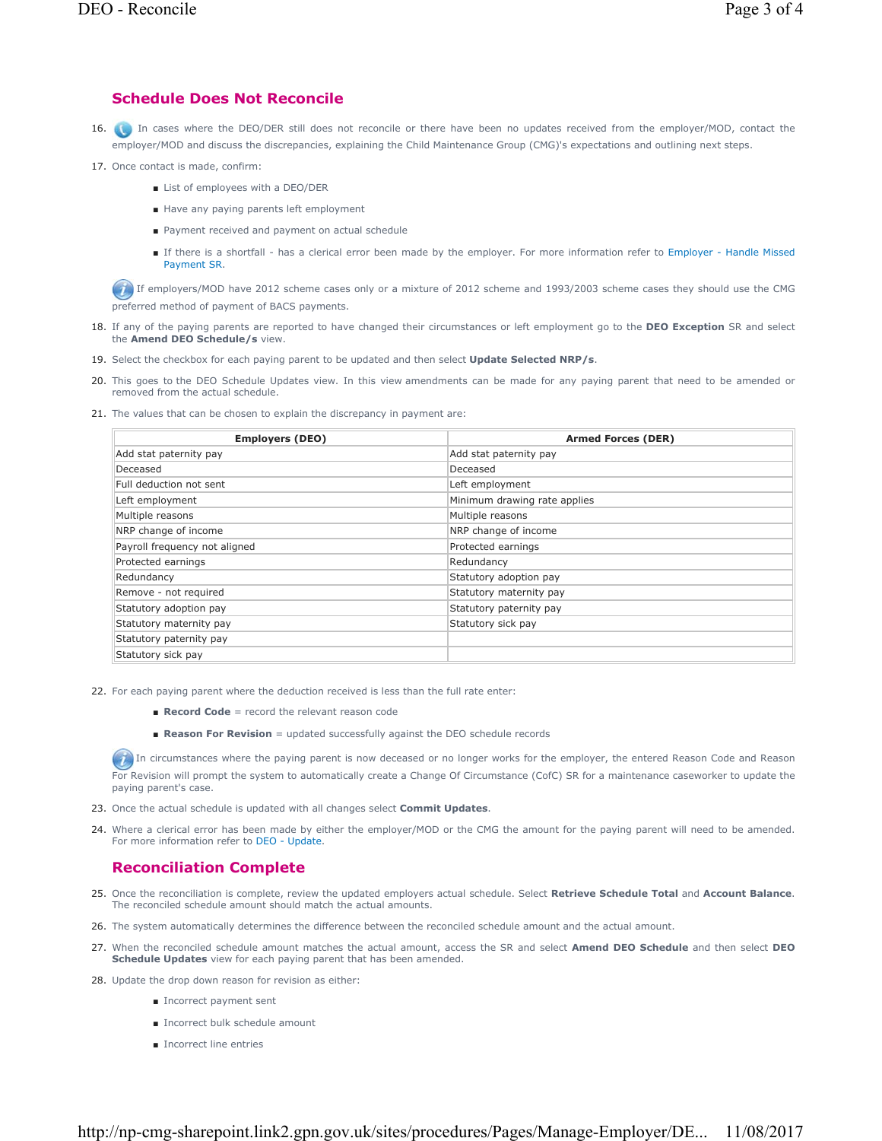## **Schedule Does Not Reconcile**

- 16. **Come 15 and 16 and 16 and 16 and 16 and 16 and 16 and 16 and 16 and 16 and 16 and 16 and 16 and 16 and 16 and 16 and 16 and 16 and 16 and 16 and 16 and 16 and 16 and 16 and 16 and 16 and 16 and 16 and 16 and 16 and 16** employer/MOD and discuss the discrepancies, explaining the Child Maintenance Group (CMG)'s expectations and outlining next steps.
- 17. Once contact is made, confirm:
	- List of employees with a DEO/DER
	- Have any paying parents left employment
	- Payment received and payment on actual schedule
	- If there is a shortfall has a clerical error been made by the employer. For more information refer to Employer Handle Missed Payment SR.

If employers/MOD have 2012 scheme cases only or a mixture of 2012 scheme and 1993/2003 scheme cases they should use the CMG preferred method of payment of BACS payments.

- 18. If any of the paying parents are reported to have changed their circumstances or left employment go to the DEO Exception SR and select the **Amend DEO Schedule/s** view.
- 19. Select the checkbox for each paying parent to be updated and then select **Update Selected NRP/s**.
- 20. This goes to the DEO Schedule Updates view. In this view amendments can be made for any paying parent that need to be amended or removed from the actual schedule.
- 21. The values that can be chosen to explain the discrepancy in payment are:

| <b>Employers (DEO)</b>        | <b>Armed Forces (DER)</b>    |
|-------------------------------|------------------------------|
| Add stat paternity pay        | Add stat paternity pay       |
| Deceased                      | Deceased                     |
| Full deduction not sent       | Left employment              |
| Left employment               | Minimum drawing rate applies |
| Multiple reasons              | Multiple reasons             |
| NRP change of income          | NRP change of income         |
| Payroll frequency not aligned | Protected earnings           |
| Protected earnings            | Redundancy                   |
| Redundancy                    | Statutory adoption pay       |
| Remove - not required         | Statutory maternity pay      |
| Statutory adoption pay        | Statutory paternity pay      |
| Statutory maternity pay       | Statutory sick pay           |
| Statutory paternity pay       |                              |
| Statutory sick pay            |                              |

- 22. For each paying parent where the deduction received is less than the full rate enter:
	- **Record Code** = record the relevant reason code
	- **Reason For Revision** = updated successfully against the DEO schedule records

In circumstances where the paying parent is now deceased or no longer works for the employer, the entered Reason Code and Reason For Revision will prompt the system to automatically create a Change Of Circumstance (CofC) SR for a maintenance caseworker to update the paying parent's case.

- 23. Once the actual schedule is updated with all changes select **Commit Updates**.
- 24. Where a clerical error has been made by either the employer/MOD or the CMG the amount for the paying parent will need to be amended. For more information refer to DEO - Update.

### **Reconciliation Complete**

- 25. Once the reconciliation is complete, review the updated employers actual schedule. Select **Retrieve Schedule Total** and Account Balance. The reconciled schedule amount should match the actual amounts.
- 26. The system automatically determines the difference between the reconciled schedule amount and the actual amount.
- When the reconciled schedule amount matches the actual amount, access the SR and select **Amend DEO Schedule** and then select **DEO**  27. **Schedule Updates** view for each paying parent that has been amended.
- 28. Update the drop down reason for revision as either:
	- Incorrect payment sent
	- Incorrect bulk schedule amount
	- Incorrect line entries